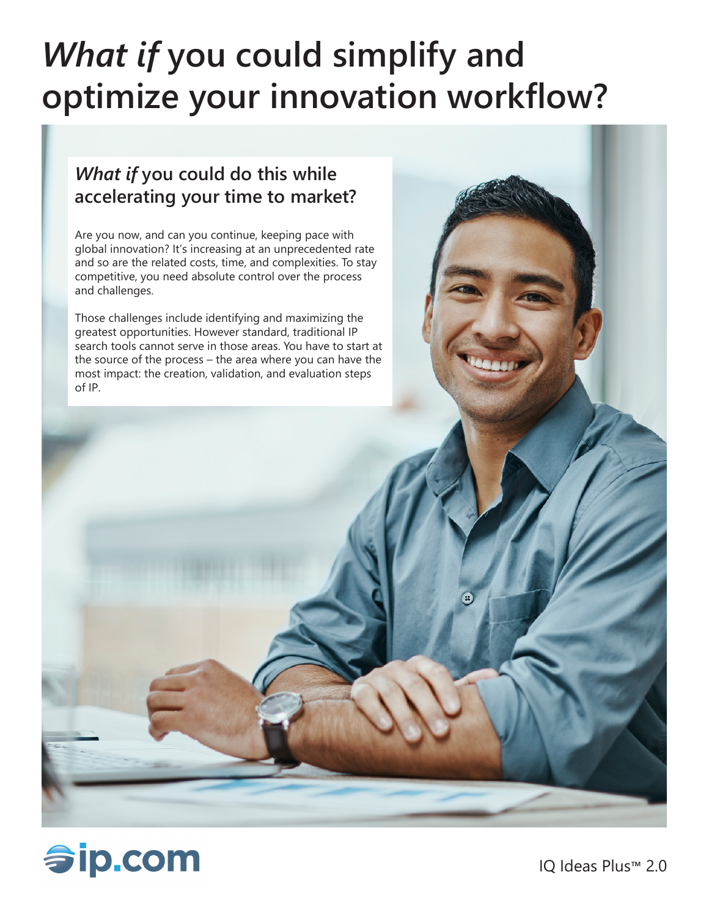# *What if* **you could simplify and optimize your innovation workflow?**

## *What if* **you could do this while accelerating your time to market?**

Are you now, and can you continue, keeping pace with global innovation? It's increasing at an unprecedented rate and so are the related costs, time, and complexities. To stay competitive, you need absolute control over the process and challenges.

Those challenges include identifying and maximizing the greatest opportunities. However standard, traditional IP search tools cannot serve in those areas. You have to start at the source of the process – the area where you can have the most impact: the creation, validation, and evaluation steps of IP.